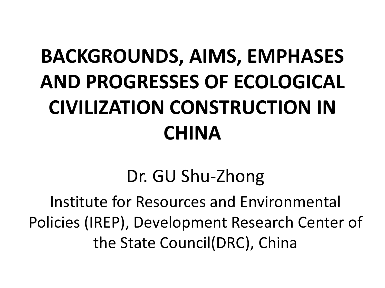## **BACKGROUNDS, AIMS, EMPHASES AND PROGRESSES OF ECOLOGICAL CIVILIZATION CONSTRUCTION IN CHINA**

Dr. GU Shu-Zhong

Institute for Resources and Environmental Policies (IREP), Development Research Center of the State Council(DRC), China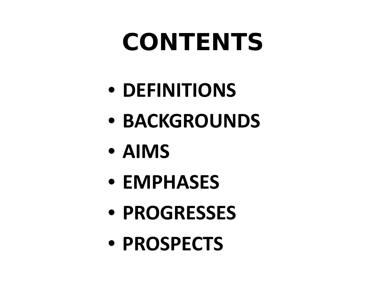# **CONTENTS**

- **DEFINITIONS**
- **BACKGROUNDS**
- **AIMS**
- **EMPHASES**
- **PROGRESSES**
- **PROSPECTS**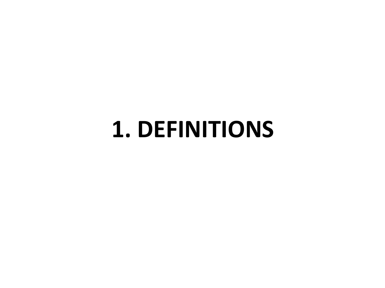## **1. DEFINITIONS**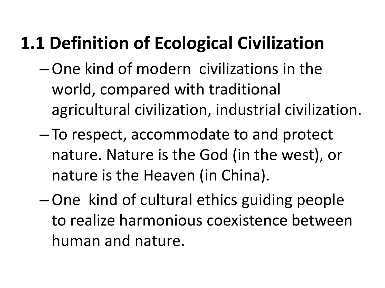#### **1.1 Definition of Ecological Civilization**

- –One kind of modern civilizations in the world, compared with traditional agricultural civilization, industrial civilization.
- To respect, accommodate to and protect nature. Nature is the God (in the west), or nature is the Heaven (in China).
- –One kind of cultural ethics guiding people to realize harmonious coexistence between human and nature.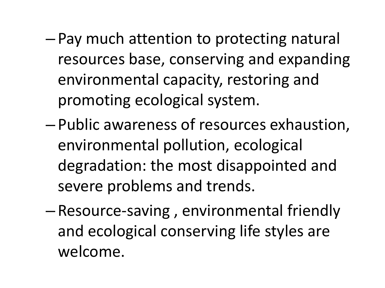- Pay much attention to protecting natural resources base, conserving and expanding environmental capacity, restoring and promoting ecological system.
- Public awareness of resources exhaustion, environmental pollution, ecological degradation: the most disappointed and severe problems and trends.
- Resource-saving , environmental friendly and ecological conserving life styles are welcome.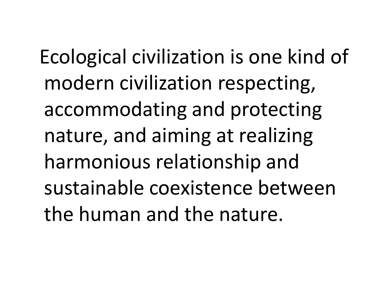Ecological civilization is one kind of modern civilization respecting, accommodating and protecting nature, and aiming at realizing harmonious relationship and sustainable coexistence between the human and the nature.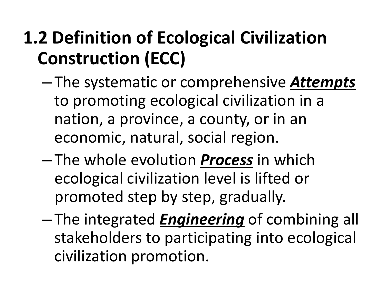#### **1.2 Definition of Ecological Civilization Construction (ECC)**

- The systematic or comprehensive *Attempts* to promoting ecological civilization in a nation, a province, a county, or in an economic, natural, social region.
- The whole evolution *Process* in which ecological civilization level is lifted or promoted step by step, gradually.
- The integrated *Engineering* of combining all stakeholders to participating into ecological civilization promotion.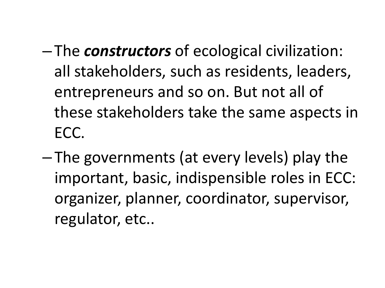- The *constructors* of ecological civilization: all stakeholders, such as residents, leaders, entrepreneurs and so on. But not all of these stakeholders take the same aspects in ECC.
- The governments (at every levels) play the important, basic, indispensible roles in ECC: organizer, planner, coordinator, supervisor, regulator, etc..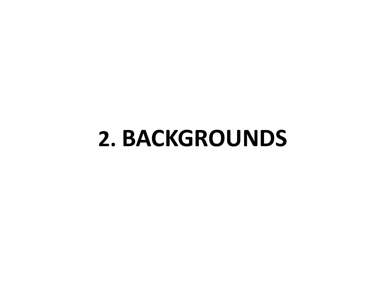## **2. BACKGROUNDS**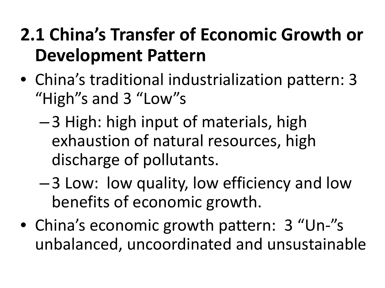#### **2.1 China's Transfer of Economic Growth or Development Pattern**

- China's traditional industrialization pattern: 3 "High"s and 3 "Low"s
	- –3 High: high input of materials, high exhaustion of natural resources, high discharge of pollutants.
	- –3 Low: low quality, low efficiency and low benefits of economic growth.
- China's economic growth pattern: 3 "Un-"s unbalanced, uncoordinated and unsustainable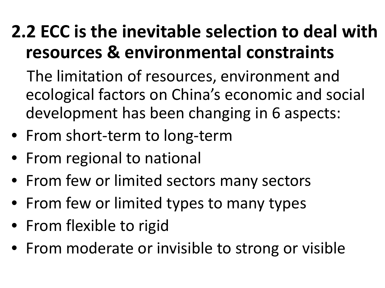#### **2.2 ECC is the inevitable selection to deal with resources & environmental constraints**

 The limitation of resources, environment and ecological factors on China's economic and social development has been changing in 6 aspects:

- From short-term to long-term
- From regional to national
- From few or limited sectors many sectors
- From few or limited types to many types
- From flexible to rigid
- From moderate or invisible to strong or visible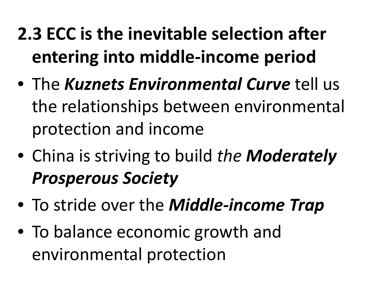- **2.3 ECC is the inevitable selection after entering into middle-income period**
- The *Kuznets Environmental Curve* tell us the relationships between environmental protection and income
- China is striving to build *the Moderately Prosperous Society*
- To stride over the *Middle-income Trap*
- To balance economic growth and environmental protection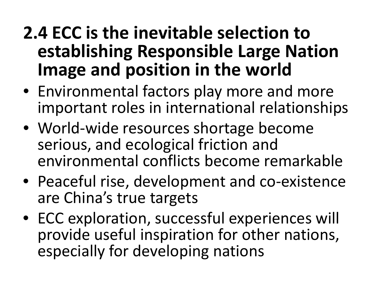#### **2.4 ECC is the inevitable selection to establishing Responsible Large Nation Image and position in the world**

- Environmental factors play more and more important roles in international relationships
- World-wide resources shortage become serious, and ecological friction and environmental conflicts become remarkable
- Peaceful rise, development and co-existence are China's true targets
- ECC exploration, successful experiences will provide useful inspiration for other nations, especially for developing nations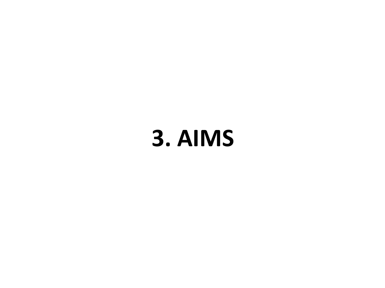# **3. AIMS**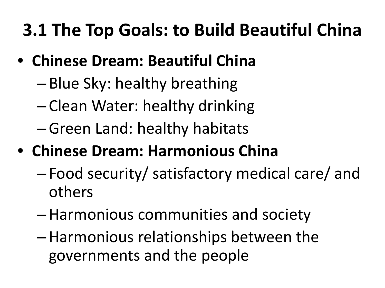#### **3.1 The Top Goals: to Build Beautiful China**

- **Chinese Dream: Beautiful China**
	- Blue Sky: healthy breathing
	- Clean Water: healthy drinking
	- –Green Land: healthy habitats
- **Chinese Dream: Harmonious China**
	- Food security/ satisfactory medical care/ and others
	- –Harmonious communities and society
	- –Harmonious relationships between the governments and the people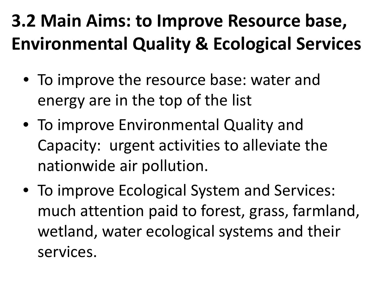#### **3.2 Main Aims: to Improve Resource base, Environmental Quality & Ecological Services**

- To improve the resource base: water and energy are in the top of the list
- To improve Environmental Quality and Capacity: urgent activities to alleviate the nationwide air pollution.
- To improve Ecological System and Services: much attention paid to forest, grass, farmland, wetland, water ecological systems and their services.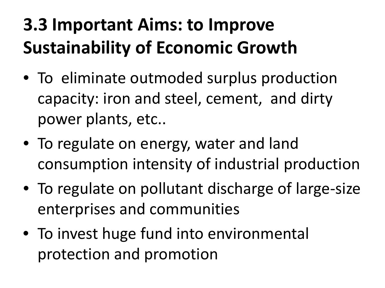#### **3.3 Important Aims: to Improve Sustainability of Economic Growth**

- To eliminate outmoded surplus production capacity: iron and steel, cement, and dirty power plants, etc..
- To regulate on energy, water and land consumption intensity of industrial production
- To regulate on pollutant discharge of large-size enterprises and communities
- To invest huge fund into environmental protection and promotion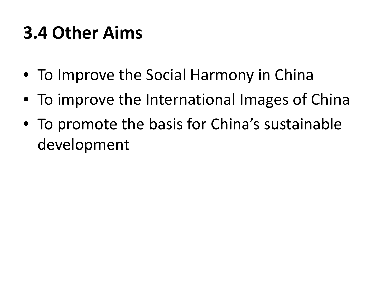#### **3.4 Other Aims**

- To Improve the Social Harmony in China
- To improve the International Images of China
- To promote the basis for China's sustainable development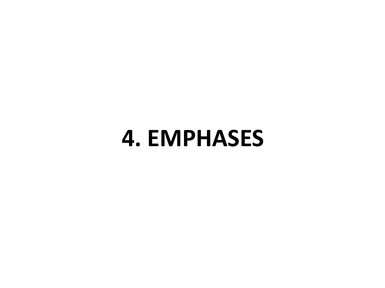## **4. EMPHASES**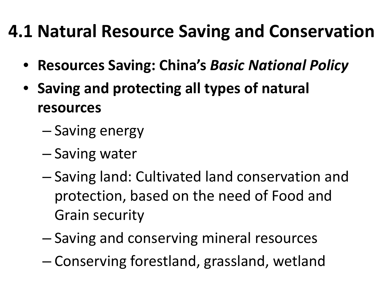#### **4.1 Natural Resource Saving and Conservation**

- **Resources Saving: China's** *Basic National Policy*
- **Saving and protecting all types of natural resources**
	- Saving energy
	- Saving water
	- Saving land: Cultivated land conservation and protection, based on the need of Food and Grain security
	- Saving and conserving mineral resources
	- Conserving forestland, grassland, wetland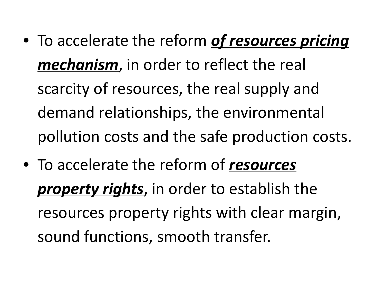- To accelerate the reform *of resources pricing mechanism*, in order to reflect the real scarcity of resources, the real supply and demand relationships, the environmental pollution costs and the safe production costs.
- To accelerate the reform of *resources property rights*, in order to establish the resources property rights with clear margin, sound functions, smooth transfer.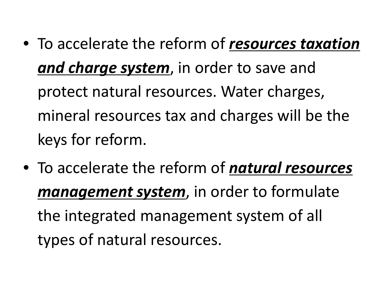- To accelerate the reform of *resources taxation and charge system*, in order to save and protect natural resources. Water charges, mineral resources tax and charges will be the keys for reform.
- To accelerate the reform of *natural resources management system*, in order to formulate the integrated management system of all types of natural resources.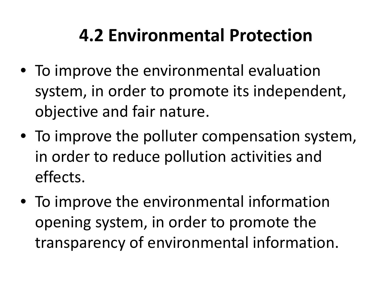#### **4.2 Environmental Protection**

- To improve the environmental evaluation system, in order to promote its independent, objective and fair nature.
- To improve the polluter compensation system, in order to reduce pollution activities and effects.
- To improve the environmental information opening system, in order to promote the transparency of environmental information.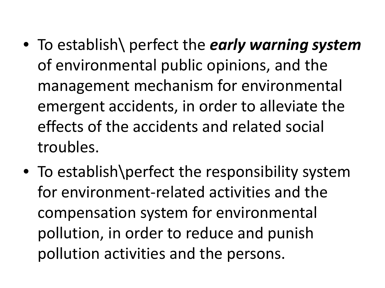- To establish\ perfect the *early warning system*  of environmental public opinions, and the management mechanism for environmental emergent accidents, in order to alleviate the effects of the accidents and related social troubles.
- To establish\perfect the responsibility system for environment-related activities and the compensation system for environmental pollution, in order to reduce and punish pollution activities and the persons.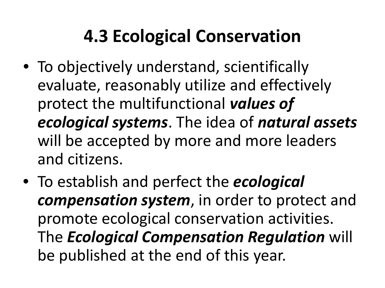#### **4.3 Ecological Conservation**

- To objectively understand, scientifically evaluate, reasonably utilize and effectively protect the multifunctional *values of ecological systems*. The idea of *natural assets*  will be accepted by more and more leaders and citizens.
- To establish and perfect the *ecological compensation system*, in order to protect and promote ecological conservation activities. The *Ecological Compensation Regulation* will be published at the end of this year.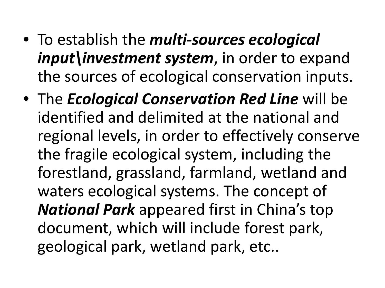- To establish the *multi-sources ecological input\investment system*, in order to expand the sources of ecological conservation inputs.
- The *Ecological Conservation Red Line* will be identified and delimited at the national and regional levels, in order to effectively conserve the fragile ecological system, including the forestland, grassland, farmland, wetland and waters ecological systems. The concept of *National Park* appeared first in China's top document, which will include forest park, geological park, wetland park, etc..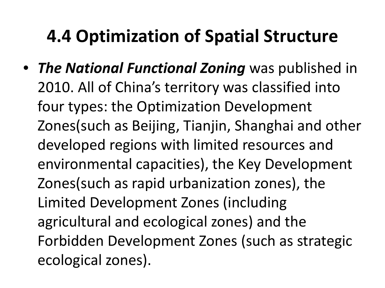#### **4.4 Optimization of Spatial Structure**

• *The National Functional Zoning* was published in 2010. All of China's territory was classified into four types: the Optimization Development Zones(such as Beijing, Tianjin, Shanghai and other developed regions with limited resources and environmental capacities), the Key Development Zones(such as rapid urbanization zones), the Limited Development Zones (including agricultural and ecological zones) and the Forbidden Development Zones (such as strategic ecological zones).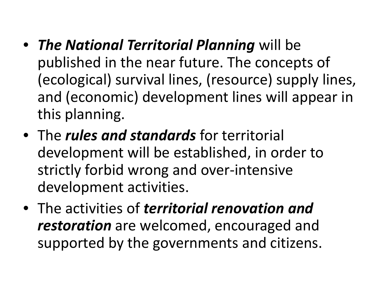- *The National Territorial Planning* will be published in the near future. The concepts of (ecological) survival lines, (resource) supply lines, and (economic) development lines will appear in this planning.
- The *rules and standards* for territorial development will be established, in order to strictly forbid wrong and over-intensive development activities.
- The activities of *territorial renovation and restoration* are welcomed, encouraged and supported by the governments and citizens.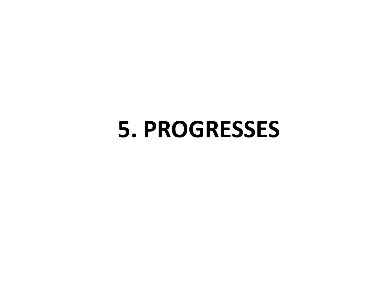## **5. PROGRESSES**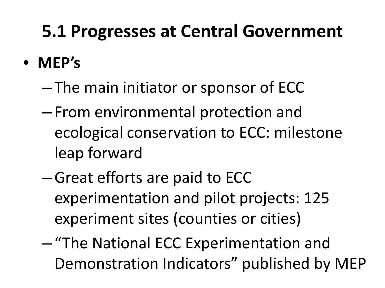#### **5.1 Progresses at Central Government**

- **MEP's** 
	- The main initiator or sponsor of ECC
	- From environmental protection and ecological conservation to ECC: milestone leap forward
	- –Great efforts are paid to ECC experimentation and pilot projects: 125 experiment sites (counties or cities)
	- "The National ECC Experimentation and Demonstration Indicators" published by MEP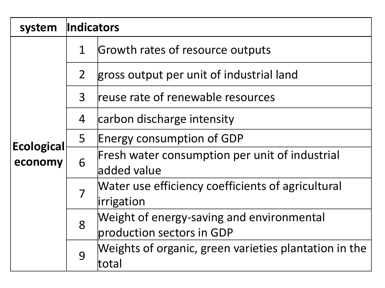| system                       | Indicators     |                                                                        |  |  |
|------------------------------|----------------|------------------------------------------------------------------------|--|--|
| <b>Ecological</b><br>economy | $\mathbf 1$    | Growth rates of resource outputs                                       |  |  |
|                              | 2 <sup>1</sup> | gross output per unit of industrial land                               |  |  |
|                              | 3              | reuse rate of renewable resources                                      |  |  |
|                              | 4              | carbon discharge intensity                                             |  |  |
|                              | 5              | Energy consumption of GDP                                              |  |  |
|                              | 6              | Fresh water consumption per unit of industrial<br>added value          |  |  |
|                              |                | Water use efficiency coefficients of agricultural<br>irrigation        |  |  |
|                              | 8              | Weight of energy-saving and environmental<br>production sectors in GDP |  |  |
|                              | 9              | Weights of organic, green varieties plantation in the<br>ltotal        |  |  |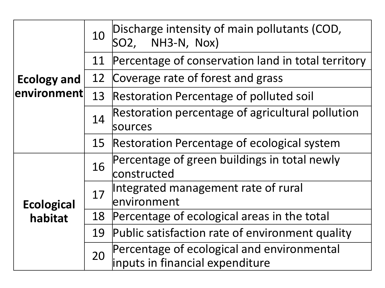|                     | 10 | Discharge intensity of main pollutants (COD,<br>NH3-N, Nox)<br>SO2,           |
|---------------------|----|-------------------------------------------------------------------------------|
|                     | 11 | Percentage of conservation land in total territory                            |
| <b>Ecology and</b>  | 12 | Coverage rate of forest and grass                                             |
| $ $ environment $ $ | 13 | <b>Restoration Percentage of polluted soil</b>                                |
|                     | 14 | Restoration percentage of agricultural pollution<br>lsources                  |
|                     | 15 | Restoration Percentage of ecological system                                   |
|                     | 16 | Percentage of green buildings in total newly<br>constructed                   |
| <b>Ecological</b>   | 17 | Integrated management rate of rural<br>lenvironment                           |
| habitat             | 18 | Percentage of ecological areas in the total                                   |
|                     | 19 | Public satisfaction rate of environment quality                               |
|                     | 20 | Percentage of ecological and environmental<br>inputs in financial expenditure |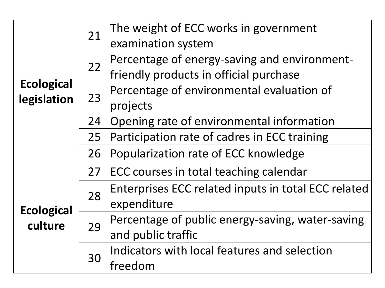|                                  | 21 | The weight of ECC works in government               |
|----------------------------------|----|-----------------------------------------------------|
|                                  |    | examination system                                  |
| <b>Ecological</b><br>legislation | 22 | Percentage of energy-saving and environment-        |
|                                  |    | friendly products in official purchase              |
|                                  | 23 | Percentage of environmental evaluation of           |
|                                  |    | projects                                            |
|                                  | 24 | Opening rate of environmental information           |
|                                  | 25 | Participation rate of cadres in ECC training        |
|                                  | 26 | Popularization rate of ECC knowledge                |
| <b>Ecological</b><br>culture     | 27 | ECC courses in total teaching calendar              |
|                                  | 28 | Enterprises ECC related inputs in total ECC related |
|                                  |    | expenditure                                         |
|                                  | 29 | Percentage of public energy-saving, water-saving    |
|                                  |    | and public traffic                                  |
|                                  | 30 | Indicators with local features and selection        |
|                                  |    | lfreedom                                            |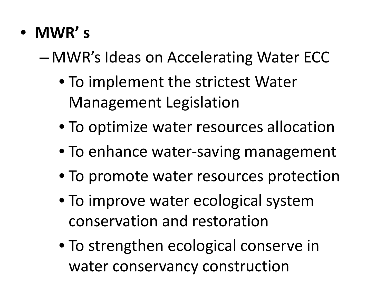• **MWR' s**

– MWR's Ideas on Accelerating Water ECC

- To implement the strictest Water Management Legislation
- To optimize water resources allocation
- To enhance water-saving management
- To promote water resources protection
- To improve water ecological system conservation and restoration
- To strengthen ecological conserve in water conservancy construction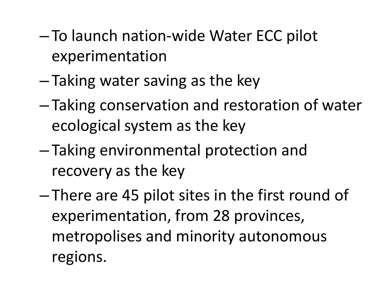- To launch nation-wide Water ECC pilot experimentation
- Taking water saving as the key
- Taking conservation and restoration of water ecological system as the key
- Taking environmental protection and recovery as the key
- There are 45 pilot sites in the first round of experimentation, from 28 provinces, metropolises and minority autonomous regions.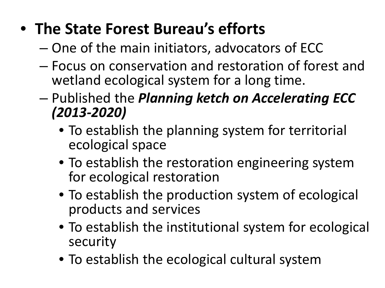#### • **The State Forest Bureau's efforts**

- One of the main initiators, advocators of ECC
- Focus on conservation and restoration of forest and wetland ecological system for a long time.
- Published the *Planning ketch on Accelerating ECC (2013-2020)*
	- To establish the planning system for territorial ecological space
	- To establish the restoration engineering system for ecological restoration
	- To establish the production system of ecological products and services
	- To establish the institutional system for ecological security
	- To establish the ecological cultural system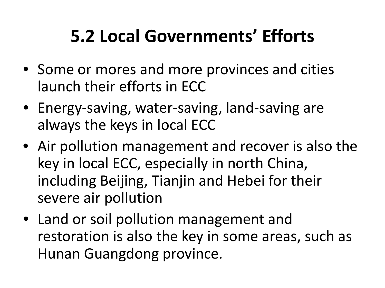#### **5.2 Local Governments' Efforts**

- Some or mores and more provinces and cities launch their efforts in ECC
- Energy-saving, water-saving, land-saving are always the keys in local ECC
- Air pollution management and recover is also the key in local ECC, especially in north China, including Beijing, Tianjin and Hebei for their severe air pollution
- Land or soil pollution management and restoration is also the key in some areas, such as Hunan Guangdong province.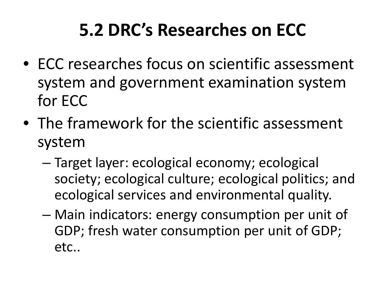#### **5.2 DRC's Researches on ECC**

- ECC researches focus on scientific assessment system and government examination system for ECC
- The framework for the scientific assessment system
	- Target layer: ecological economy; ecological society; ecological culture; ecological politics; and ecological services and environmental quality.
	- Main indicators: energy consumption per unit of GDP; fresh water consumption per unit of GDP; etc..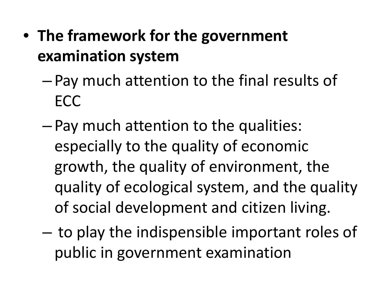- **The framework for the government examination system**
	- Pay much attention to the final results of **ECC**
	- Pay much attention to the qualities: especially to the quality of economic growth, the quality of environment, the quality of ecological system, and the quality of social development and citizen living.
	- to play the indispensible important roles of public in government examination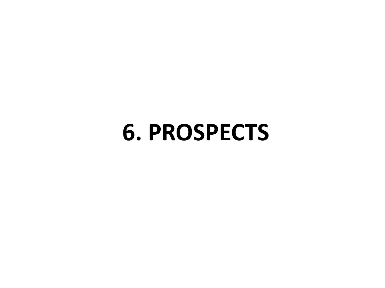## **6. PROSPECTS**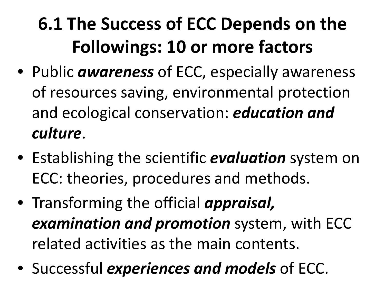## **6.1 The Success of ECC Depends on the Followings: 10 or more factors**

- Public *awareness* of ECC, especially awareness of resources saving, environmental protection and ecological conservation: *education and culture*.
- Establishing the scientific *evaluation* system on ECC: theories, procedures and methods.
- Transforming the official *appraisal, examination and promotion* system, with ECC related activities as the main contents.
- Successful *experiences and models* of ECC.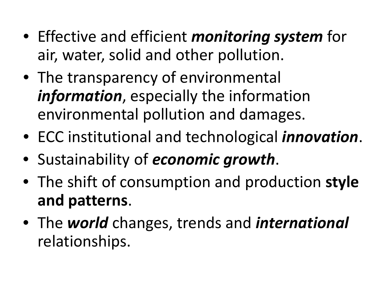- Effective and efficient *monitoring system* for air, water, solid and other pollution.
- The transparency of environmental *information*, especially the information environmental pollution and damages.
- ECC institutional and technological *innovation*.
- Sustainability of *economic growth*.
- The shift of consumption and production **style and patterns**.
- The *world* changes, trends and *international* relationships.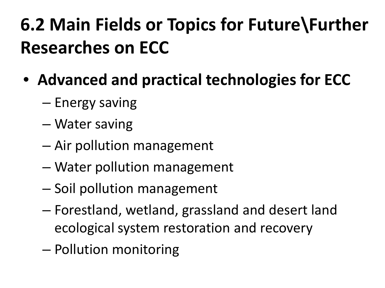## **6.2 Main Fields or Topics for Future\Further Researches on ECC**

- **Advanced and practical technologies for ECC**
	- Energy saving
	- Water saving
	- Air pollution management
	- Water pollution management
	- Soil pollution management
	- Forestland, wetland, grassland and desert land ecological system restoration and recovery
	- Pollution monitoring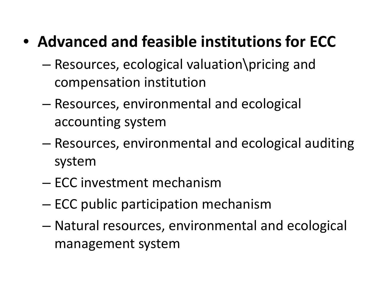#### • **Advanced and feasible institutions for ECC**

- Resources, ecological valuation\pricing and compensation institution
- Resources, environmental and ecological accounting system
- Resources, environmental and ecological auditing system
- ECC investment mechanism
- ECC public participation mechanism
- Natural resources, environmental and ecological management system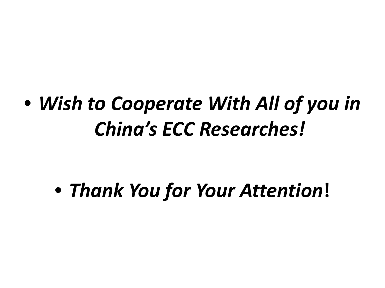## • *Wish to Cooperate With All of you in China's ECC Researches!*

## • *Thank You for Your Attention***!**